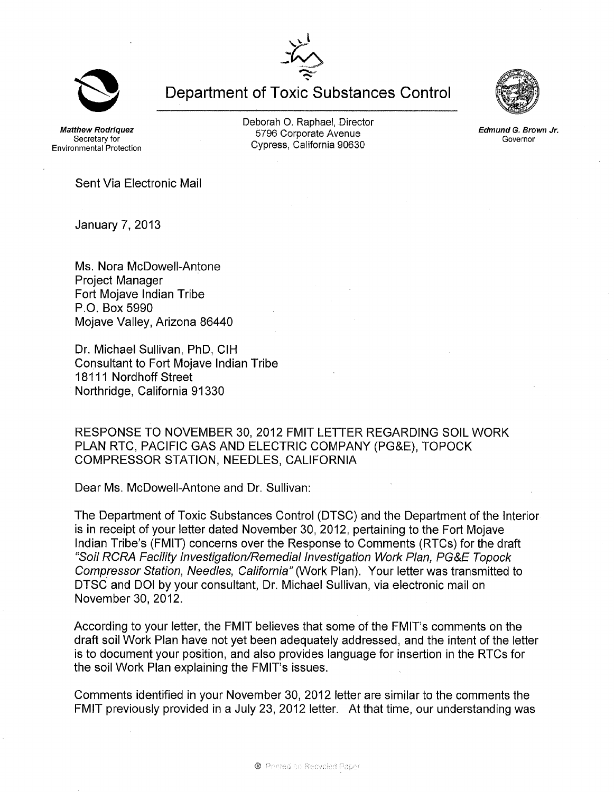**Department of Toxic Substances Control** 

**Matthew Rodriguez** Secretary for Environmental Protection Deborah O. Raphael, Director 5796 Corporate Avenue Cypress, California 90630

Sent Via Electronic Mail

January 7, 2013

Ms. Nora McDowell-Antone Project Manager Fort Mojave Indian Tribe P.O. Box 5990 Mojave Valley, Arizona 86440

Dr. Michael Sullivan, PhD, CIH Consultant to Fort Mojave Indian Tribe 18111 Nordhoff Street Northridge, California 91330

RESPONSE TO NOVEMBER 30,2012 FMIT LETTER REGARDING SOIL WORK PLAN RTC, PACIFIC GAS AND ELECTRIC COMPANY (PG&E), TOPOCK COMPRESSOR STATION, NEEDLES, CALIFORNIA

Dear Ms. McDowell-Antone and Dr. Sullivan:

The Department of Toxic Substances Control (DTSC) and the Department of the Interior is in receipt of your letter dated November 30, 2012, pertaining to the Fort Mojave Indian Tribe's (FMIT) concerns over the Response to Comments (RTCs) for the draft "Soil RCRA Facility Investigation/Remedial Investigation Work Plan, PG&E Topock Compressor Station, Needles, California" (Work Plan). Your letter was transmitted to DTSC and 001 by your consultant, Dr. Michael Sullivan, via electronic mail on November 30,2012.

According to your letter, the FMIT believes that some of the FMIT's comments on the draft soil Work Plan have not yet been adequately addressed, and the intent of the letter is to document your position, and also provides language for insertion in the RTCs for the soil Work Plan explaining the FMIT's issues.

Comments identified in your November 30, 2012 letter are similar to the comments the FMIT previously provided in a July 23, 2012 letter. At that time, our understanding was





Edmund G. Brown Jr. Governor